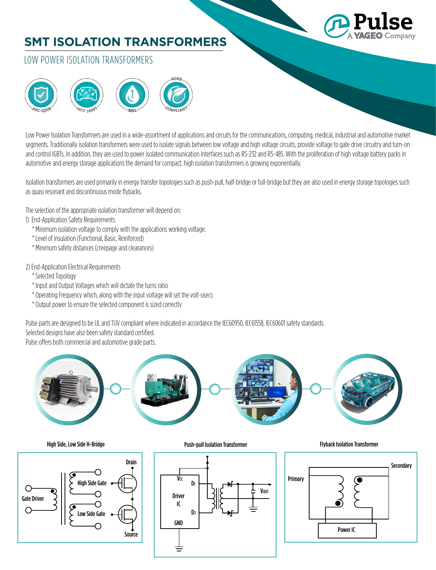# **SMT ISOLATION TRANSFORMERS**



## LOW POWER ISOLATION TRANSFORMERS



Low Power Isolation Transformers are used in a wide-assortment of applications and circuits for the communications, computing, medical, industrial and automotive market segments. Traditionally isolation transformers were used to isolate signals between low voltage and high voltage circuits, provide voltage to gate drive circuitry and turn-on and control IGBTs. In addition, they are used to power isolated communication interfaces such as RS-232 and RS-485. With the proliferation of high voltage battery packs in automotive and energy storage applications the demand for compact, high isolation transformers is growing exponentially.

Isolation transformers are used primarily in energy transfer topologies such as push-pull, half-bridge or full-bridge but they are also used in energy storage topologies such as quasi resonant and discontinuous mode flybacks.

The selection of the appropriate isolation transformer will depend on:

### 1) End-Application Safety Requirements

- \* Minimum isolation voltage to comply with the applications working voltage.
- \* Level of insulation (Functional, Basic, Reinforced)
- \* Minimum safety distances (creepage and clearances)

### 2) End-Application Electrical Requirements

- \* Selected Topology
- \* Input and Output Voltages which will dictate the turns ratio
- \* Operating Frequency which, along with the input voltage will set the volt-usecs
- \* Output power to ensure the selected component is sized correctly

Pulse parts are designed to be UL and TUV compliant where indicated in accordance the IEC60950, IEC61558, IEC60601 safety standards. Selected designs have also been safety standard certified.

Pulse offers both commercial and automotive grade parts.





Push-pull Isolation Transformer High Side, Low Side H-Bridge Flyback Isolation Transformer



Primary **Secondary** Power IC